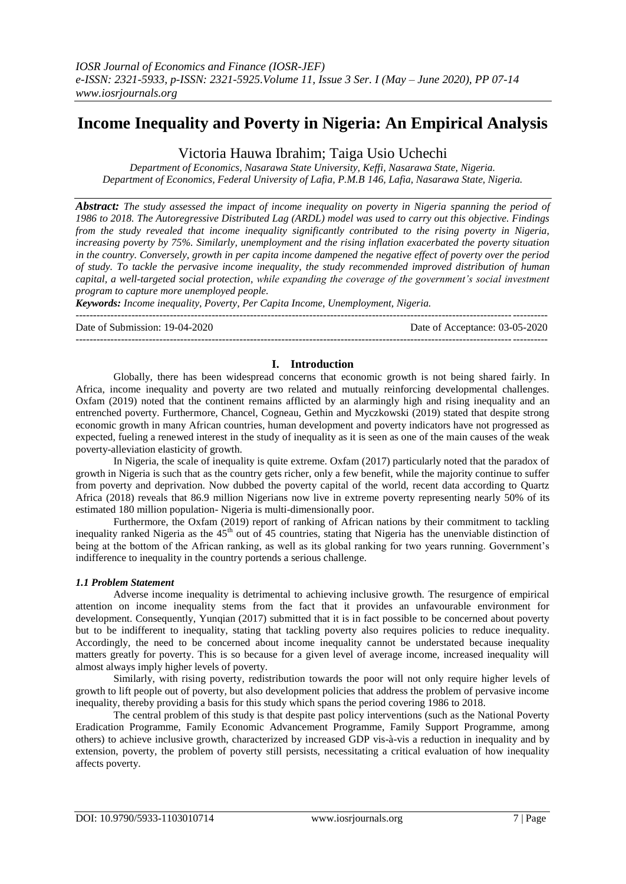# **Income Inequality and Poverty in Nigeria: An Empirical Analysis**

Victoria Hauwa Ibrahim; Taiga Usio Uchechi

*Department of Economics, Nasarawa State University, Keffi, Nasarawa State, Nigeria. Department of Economics, Federal University of Lafia, P.M.B 146, Lafia, Nasarawa State, Nigeria.*

*Abstract: The study assessed the impact of income inequality on poverty in Nigeria spanning the period of 1986 to 2018. The Autoregressive Distributed Lag (ARDL) model was used to carry out this objective. Findings from the study revealed that income inequality significantly contributed to the rising poverty in Nigeria, increasing poverty by 75%. Similarly, unemployment and the rising inflation exacerbated the poverty situation in the country. Conversely, growth in per capita income dampened the negative effect of poverty over the period of study. To tackle the pervasive income inequality, the study recommended improved distribution of human capital, a well-targeted social protection, while expanding the coverage of the government's social investment program to capture more unemployed people.*

*Keywords: Income inequality, Poverty, Per Capita Income, Unemployment, Nigeria.*

--------------------------------------------------------------------------------------------------------------------------------------- Date of Submission: 19-04-2020 Date of Acceptance: 03-05-2020 ---------------------------------------------------------------------------------------------------------------------------------------

## **I. Introduction**

Globally, there has been widespread concerns that economic growth is not being shared fairly. In Africa, income inequality and poverty are two related and mutually reinforcing developmental challenges. Oxfam (2019) noted that the continent remains afflicted by an alarmingly high and rising inequality and an entrenched poverty. Furthermore, Chancel, Cogneau, Gethin and Myczkowski (2019) stated that despite strong economic growth in many African countries, human development and poverty indicators have not progressed as expected, fueling a renewed interest in the study of inequality as it is seen as one of the main causes of the weak poverty-alleviation elasticity of growth.

In Nigeria, the scale of inequality is quite extreme. Oxfam (2017) particularly noted that the paradox of growth in Nigeria is such that as the country gets richer, only a few benefit, while the majority continue to suffer from poverty and deprivation. Now dubbed the poverty capital of the world, recent data according to Quartz Africa (2018) reveals that 86.9 million Nigerians now live in extreme poverty representing nearly 50% of its estimated 180 million population- Nigeria is multi-dimensionally poor.

Furthermore, the Oxfam (2019) report of ranking of African nations by their commitment to tackling inequality ranked Nigeria as the  $45<sup>th</sup>$  out of 45 countries, stating that Nigeria has the unenviable distinction of being at the bottom of the African ranking, as well as its global ranking for two years running. Government's indifference to inequality in the country portends a serious challenge.

#### *1.1 Problem Statement*

Adverse income inequality is detrimental to achieving inclusive growth. The resurgence of empirical attention on income inequality stems from the fact that it provides an unfavourable environment for development. Consequently, Yunqian (2017) submitted that it is in fact possible to be concerned about poverty but to be indifferent to inequality, stating that tackling poverty also requires policies to reduce inequality. Accordingly, the need to be concerned about income inequality cannot be understated because inequality matters greatly for poverty. This is so because for a given level of average income, increased inequality will almost always imply higher levels of poverty.

Similarly, with rising poverty, redistribution towards the poor will not only require higher levels of growth to lift people out of poverty, but also development policies that address the problem of pervasive income inequality, thereby providing a basis for this study which spans the period covering 1986 to 2018.

The central problem of this study is that despite past policy interventions (such as the National Poverty Eradication Programme, Family Economic Advancement Programme, Family Support Programme, among others) to achieve inclusive growth, characterized by increased GDP vis-à-vis a reduction in inequality and by extension, poverty, the problem of poverty still persists, necessitating a critical evaluation of how inequality affects poverty.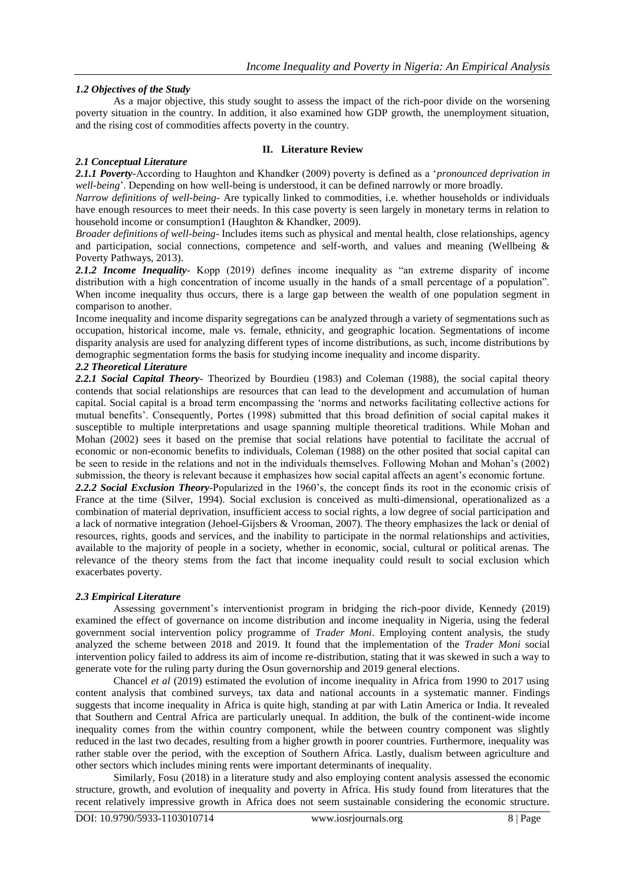## *1.2 Objectives of the Study*

As a major objective, this study sought to assess the impact of the rich-poor divide on the worsening poverty situation in the country. In addition, it also examined how GDP growth, the unemployment situation, and the rising cost of commodities affects poverty in the country.

### **II. Literature Review**

### *2.1 Conceptual Literature*

*2.1.1 Poverty*-According to Haughton and Khandker (2009) poverty is defined as a "*pronounced deprivation in well-being*". Depending on how well-being is understood, it can be defined narrowly or more broadly.

*Narrow definitions of well-being*- Are typically linked to commodities, i.e. whether households or individuals have enough resources to meet their needs. In this case poverty is seen largely in monetary terms in relation to household income or consumption1 (Haughton & Khandker, 2009).

*Broader definitions of well-being*- Includes items such as physical and mental health, close relationships, agency and participation, social connections, competence and self-worth, and values and meaning (Wellbeing & Poverty Pathways, 2013).

*2.1.2 Income Inequality*- Kopp (2019) defines income inequality as "an extreme disparity of income distribution with a high concentration of income usually in the hands of a small percentage of a population". When income inequality thus occurs, there is a large gap between the wealth of one population segment in comparison to another.

Income inequality and income disparity segregations can be analyzed through a variety of segmentations such as occupation, historical income, male vs. female, ethnicity, and geographic location. Segmentations of income disparity analysis are used for analyzing different types of income distributions, as such, income distributions by demographic segmentation forms the basis for studying income inequality and income disparity.

## *2.2 Theoretical Literature*

*2.2.1 Social Capital Theory*- Theorized by Bourdieu (1983) and Coleman (1988), the social capital theory contends that social relationships are resources that can lead to the development and accumulation of human capital. Social capital is a broad term encompassing the "norms and networks facilitating collective actions for mutual benefits". Consequently, Portes (1998) submitted that this broad definition of social capital makes it susceptible to multiple interpretations and usage spanning multiple theoretical traditions. While Mohan and Mohan (2002) sees it based on the premise that social relations have potential to facilitate the accrual of economic or non-economic benefits to individuals, Coleman (1988) on the other posited that social capital can be seen to reside in the relations and not in the individuals themselves. Following Mohan and Mohan"s (2002) submission, the theory is relevant because it emphasizes how social capital affects an agent's economic fortune. 2.2.2 Social Exclusion Theory-Popularized in the 1960's, the concept finds its root in the economic crisis of France at the time (Silver, 1994). Social exclusion is conceived as multi-dimensional, operationalized as a combination of material deprivation, insufficient access to social rights, a low degree of social participation and a lack of normative integration (Jehoel-Gijsbers & Vrooman, 2007). The theory emphasizes the lack or denial of resources, rights, goods and services, and the inability to participate in the normal relationships and activities, available to the majority of people in a society, whether in economic, social, cultural or political arenas. The relevance of the theory stems from the fact that income inequality could result to social exclusion which

#### *2.3 Empirical Literature*

exacerbates poverty.

Assessing government"s interventionist program in bridging the rich-poor divide, Kennedy (2019) examined the effect of governance on income distribution and income inequality in Nigeria, using the federal government social intervention policy programme of *Trader Moni*. Employing content analysis, the study analyzed the scheme between 2018 and 2019. It found that the implementation of the *Trader Moni* social intervention policy failed to address its aim of income re-distribution, stating that it was skewed in such a way to generate vote for the ruling party during the Osun governorship and 2019 general elections.

Chancel *et al* (2019) estimated the evolution of income inequality in Africa from 1990 to 2017 using content analysis that combined surveys, tax data and national accounts in a systematic manner. Findings suggests that income inequality in Africa is quite high, standing at par with Latin America or India. It revealed that Southern and Central Africa are particularly unequal. In addition, the bulk of the continent-wide income inequality comes from the within country component, while the between country component was slightly reduced in the last two decades, resulting from a higher growth in poorer countries. Furthermore, inequality was rather stable over the period, with the exception of Southern Africa. Lastly, dualism between agriculture and other sectors which includes mining rents were important determinants of inequality.

Similarly, Fosu (2018) in a literature study and also employing content analysis assessed the economic structure, growth, and evolution of inequality and poverty in Africa. His study found from literatures that the recent relatively impressive growth in Africa does not seem sustainable considering the economic structure.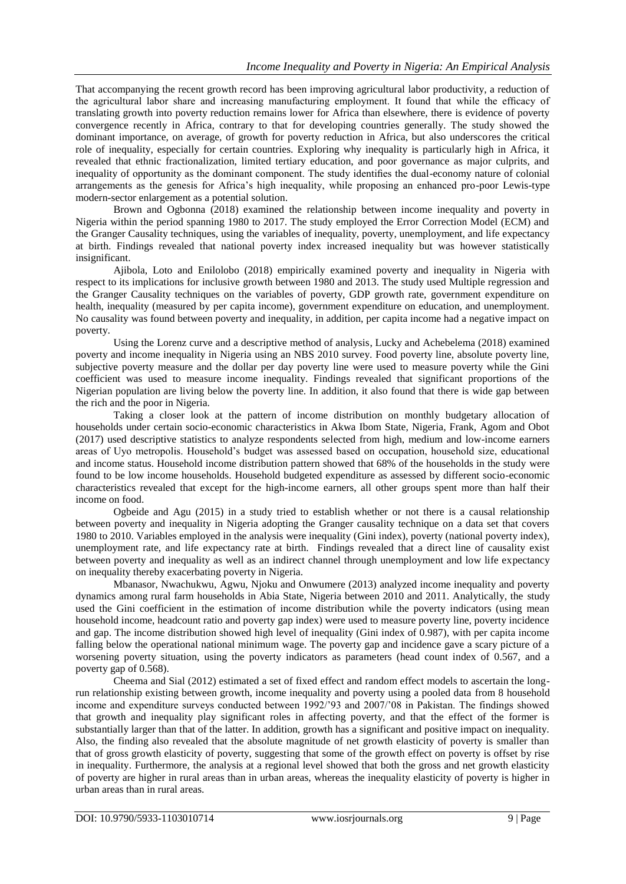That accompanying the recent growth record has been improving agricultural labor productivity, a reduction of the agricultural labor share and increasing manufacturing employment. It found that while the efficacy of translating growth into poverty reduction remains lower for Africa than elsewhere, there is evidence of poverty convergence recently in Africa, contrary to that for developing countries generally. The study showed the dominant importance, on average, of growth for poverty reduction in Africa, but also underscores the critical role of inequality, especially for certain countries. Exploring why inequality is particularly high in Africa, it revealed that ethnic fractionalization, limited tertiary education, and poor governance as major culprits, and inequality of opportunity as the dominant component. The study identifies the dual-economy nature of colonial arrangements as the genesis for Africa"s high inequality, while proposing an enhanced pro-poor Lewis-type modern-sector enlargement as a potential solution.

Brown and Ogbonna (2018) examined the relationship between income inequality and poverty in Nigeria within the period spanning 1980 to 2017. The study employed the Error Correction Model (ECM) and the Granger Causality techniques, using the variables of inequality, poverty, unemployment, and life expectancy at birth. Findings revealed that national poverty index increased inequality but was however statistically insignificant.

Ajibola, Loto and Enilolobo (2018) empirically examined poverty and inequality in Nigeria with respect to its implications for inclusive growth between 1980 and 2013. The study used Multiple regression and the Granger Causality techniques on the variables of poverty, GDP growth rate, government expenditure on health, inequality (measured by per capita income), government expenditure on education, and unemployment. No causality was found between poverty and inequality, in addition, per capita income had a negative impact on poverty.

Using the Lorenz curve and a descriptive method of analysis, Lucky and Achebelema (2018) examined poverty and income inequality in Nigeria using an NBS 2010 survey. Food poverty line, absolute poverty line, subjective poverty measure and the dollar per day poverty line were used to measure poverty while the Gini coefficient was used to measure income inequality. Findings revealed that significant proportions of the Nigerian population are living below the poverty line. In addition, it also found that there is wide gap between the rich and the poor in Nigeria.

Taking a closer look at the pattern of income distribution on monthly budgetary allocation of households under certain socio-economic characteristics in Akwa Ibom State, Nigeria, Frank, Agom and Obot (2017) used descriptive statistics to analyze respondents selected from high, medium and low-income earners areas of Uyo metropolis. Household"s budget was assessed based on occupation, household size, educational and income status. Household income distribution pattern showed that 68% of the households in the study were found to be low income households. Household budgeted expenditure as assessed by different socio-economic characteristics revealed that except for the high-income earners, all other groups spent more than half their income on food.

Ogbeide and Agu (2015) in a study tried to establish whether or not there is a causal relationship between poverty and inequality in Nigeria adopting the Granger causality technique on a data set that covers 1980 to 2010. Variables employed in the analysis were inequality (Gini index), poverty (national poverty index), unemployment rate, and life expectancy rate at birth. Findings revealed that a direct line of causality exist between poverty and inequality as well as an indirect channel through unemployment and low life expectancy on inequality thereby exacerbating poverty in Nigeria.

Mbanasor, Nwachukwu, Agwu, Njoku and Onwumere (2013) analyzed income inequality and poverty dynamics among rural farm households in Abia State, Nigeria between 2010 and 2011. Analytically, the study used the Gini coefficient in the estimation of income distribution while the poverty indicators (using mean household income, headcount ratio and poverty gap index) were used to measure poverty line, poverty incidence and gap. The income distribution showed high level of inequality (Gini index of 0.987), with per capita income falling below the operational national minimum wage. The poverty gap and incidence gave a scary picture of a worsening poverty situation, using the poverty indicators as parameters (head count index of 0.567, and a poverty gap of 0.568).

Cheema and Sial (2012) estimated a set of fixed effect and random effect models to ascertain the longrun relationship existing between growth, income inequality and poverty using a pooled data from 8 household income and expenditure surveys conducted between 1992/"93 and 2007/"08 in Pakistan. The findings showed that growth and inequality play significant roles in affecting poverty, and that the effect of the former is substantially larger than that of the latter. In addition, growth has a significant and positive impact on inequality. Also, the finding also revealed that the absolute magnitude of net growth elasticity of poverty is smaller than that of gross growth elasticity of poverty, suggesting that some of the growth effect on poverty is offset by rise in inequality. Furthermore, the analysis at a regional level showed that both the gross and net growth elasticity of poverty are higher in rural areas than in urban areas, whereas the inequality elasticity of poverty is higher in urban areas than in rural areas.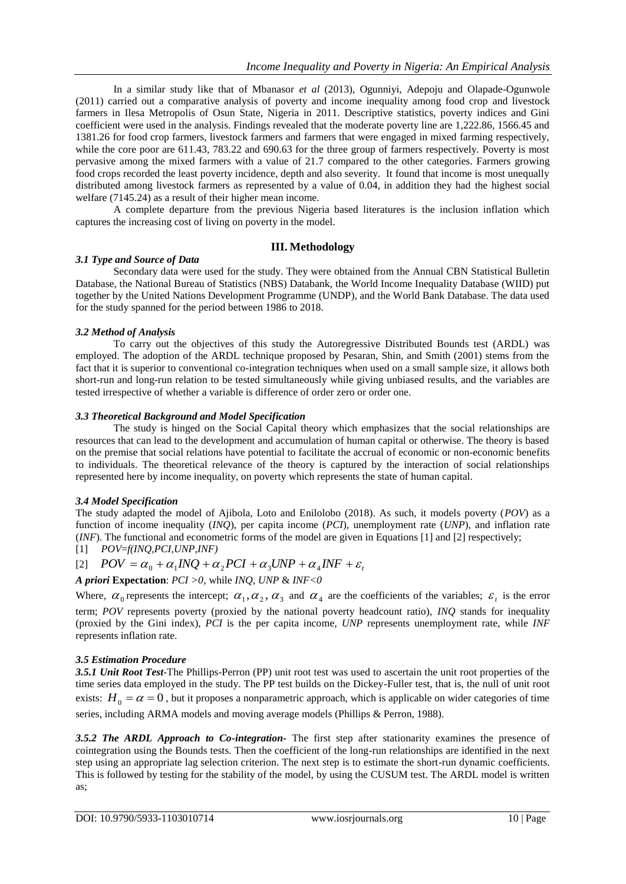In a similar study like that of Mbanasor *et al* (2013), Ogunniyi, Adepoju and Olapade-Ogunwole (2011) carried out a comparative analysis of poverty and income inequality among food crop and livestock farmers in Ilesa Metropolis of Osun State, Nigeria in 2011. Descriptive statistics, poverty indices and Gini coefficient were used in the analysis. Findings revealed that the moderate poverty line are 1,222.86, 1566.45 and 1381.26 for food crop farmers, livestock farmers and farmers that were engaged in mixed farming respectively, while the core poor are 611.43, 783.22 and 690.63 for the three group of farmers respectively. Poverty is most pervasive among the mixed farmers with a value of 21.7 compared to the other categories. Farmers growing food crops recorded the least poverty incidence, depth and also severity. It found that income is most unequally distributed among livestock farmers as represented by a value of 0.04, in addition they had the highest social welfare (7145.24) as a result of their higher mean income.

A complete departure from the previous Nigeria based literatures is the inclusion inflation which captures the increasing cost of living on poverty in the model.

#### **III. Methodology**

#### *3.1 Type and Source of Data*

Secondary data were used for the study. They were obtained from the Annual CBN Statistical Bulletin Database, the National Bureau of Statistics (NBS) Databank, the World Income Inequality Database (WIID) put together by the United Nations Development Programme (UNDP), and the World Bank Database. The data used for the study spanned for the period between 1986 to 2018.

#### *3.2 Method of Analysis*

To carry out the objectives of this study the Autoregressive Distributed Bounds test (ARDL) was employed. The adoption of the ARDL technique proposed by Pesaran, Shin, and Smith (2001) stems from the fact that it is superior to conventional co-integration techniques when used on a small sample size, it allows both short-run and long-run relation to be tested simultaneously while giving unbiased results, and the variables are tested irrespective of whether a variable is difference of order zero or order one.

#### *3.3 Theoretical Background and Model Specification*

The study is hinged on the Social Capital theory which emphasizes that the social relationships are resources that can lead to the development and accumulation of human capital or otherwise. The theory is based on the premise that social relations have potential to facilitate the accrual of economic or non-economic benefits to individuals. The theoretical relevance of the theory is captured by the interaction of social relationships represented here by income inequality, on poverty which represents the state of human capital.

#### *3.4 Model Specification*

The study adapted the model of Ajibola, Loto and Enilolobo (2018). As such, it models poverty (*POV*) as a function of income inequality (*INQ*), per capita income (*PCI*), unemployment rate (*UNP*), and inflation rate (*INF*). The functional and econometric forms of the model are given in Equations [1] and [2] respectively;

$$
[1] \quad POV = f(INQ, PCI, UNP, INF)
$$

$$
[2] \quad POV = \alpha_0 + \alpha_1 INQ + \alpha_2 PCI + \alpha_3 UNP + \alpha_4 INF + \varepsilon_t
$$

*A priori* **Expectation**: *PCI >0,* while *INQ, UNP* & *INF<0*

Where,  $\alpha_0$  represents the intercept;  $\alpha_1, \alpha_2, \alpha_3$  and  $\alpha_4$  are the coefficients of the variables;  $\varepsilon_i$  is the error term; *POV* represents poverty (proxied by the national poverty headcount ratio), *INQ* stands for inequality (proxied by the Gini index), *PCI* is the per capita income, *UNP* represents unemployment rate, while *INF* represents inflation rate.

#### *3.5 Estimation Procedure*

*3.5.1 Unit Root Test*-The Phillips-Perron (PP) unit root test was used to ascertain the unit root properties of the time series data employed in the study. The PP test builds on the Dickey-Fuller test, that is, the null of unit root exists:  $H_0 = \alpha = 0$ , but it proposes a nonparametric approach, which is applicable on wider categories of time series, including ARMA models and moving average models (Phillips & Perron, 1988).

*3.5.2 The ARDL Approach to Co-integration***-** The first step after stationarity examines the presence of cointegration using the Bounds tests. Then the coefficient of the long-run relationships are identified in the next step using an appropriate lag selection criterion. The next step is to estimate the short-run dynamic coefficients. This is followed by testing for the stability of the model, by using the CUSUM test. The ARDL model is written as;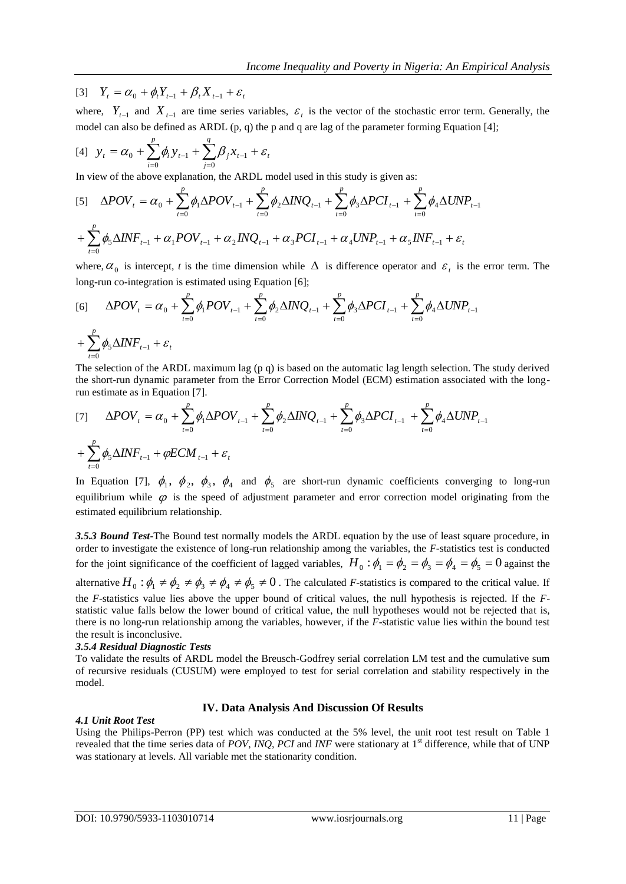$[Y_t = \alpha_0 + \phi_t Y_{t-1} + \beta_t X_{t-1} + \varepsilon_t]$ 

where,  $Y_{t-1}$  and  $X_{t-1}$  are time series variables,  $\varepsilon_t$  is the vector of the stochastic error term. Generally, the model can also be defined as ARDL (p, q) the p and q are lag of the parameter forming Equation [4];

$$
[4] \quad y_t = \alpha_0 + \sum_{i=0}^p \phi_i y_{t-1} + \sum_{j=0}^q \beta_j x_{t-1} + \varepsilon_t
$$

In view of the above explanation, the ARDL model used in this study is given as:

$$
[5] \Delta POV_{t} = \alpha_{0} + \sum_{t=0}^{p} \phi_{1} \Delta POV_{t-1} + \sum_{t=0}^{p} \phi_{2} \Delta INQ_{t-1} + \sum_{t=0}^{p} \phi_{3} \Delta PCI_{t-1} + \sum_{t=0}^{p} \phi_{4} \Delta UNP_{t-1} + \sum_{t=0}^{p} \phi_{5} \Delta INF_{t-1} + \alpha_{1} POV_{t-1} + \alpha_{2} INQ_{t-1} + \alpha_{3} PCI_{t-1} + \alpha_{4} UNP_{t-1} + \alpha_{5} INF_{t-1} + \varepsilon_{t}
$$

where,  $\alpha_0$  is intercept, *t* is the time dimension while  $\Delta$  is difference operator and  $\varepsilon_t$  is the error term. The long-run co-integration is estimated using Equation [6];

$$
[6] \quad \Delta POV_{t} = \alpha_{0} + \sum_{t=0}^{p} \phi_{1} POV_{t-1} + \sum_{t=0}^{p} \phi_{2} \Delta INQ_{t-1} + \sum_{t=0}^{p} \phi_{3} \Delta PCI_{t-1} + \sum_{t=0}^{p} \phi_{4} \Delta UNP_{t-1} + \sum_{t=0}^{p} \phi_{5} \Delta INF_{t-1} + \varepsilon_{t}
$$

The selection of the ARDL maximum lag (p q) is based on the automatic lag length selection. The study derived the short-run dynamic parameter from the Error Correction Model (ECM) estimation associated with the longrun estimate as in Equation [7].

$$
[7] \quad \Delta POV_{t} = \alpha_{0} + \sum_{t=0}^{p} \phi_{1} \Delta POV_{t-1} + \sum_{t=0}^{p} \phi_{2} \Delta INQ_{t-1} + \sum_{t=0}^{p} \phi_{3} \Delta PCI_{t-1} + \sum_{t=0}^{p} \phi_{4} \Delta UNP_{t-1} + \sum_{t=0}^{p} \phi_{5} \Delta INF_{t-1} + \phi ECM_{t-1} + \varepsilon_{t}
$$

In Equation [7],  $\phi_1$ ,  $\phi_2$ ,  $\phi_3$ ,  $\phi_4$  and  $\phi_5$  are short-run dynamic coefficients converging to long-run equilibrium while  $\varphi$  is the speed of adjustment parameter and error correction model originating from the estimated equilibrium relationship.

*3.5.3 Bound Test*-The Bound test normally models the ARDL equation by the use of least square procedure, in order to investigate the existence of long-run relationship among the variables, the *F-*statistics test is conducted for the joint significance of the coefficient of lagged variables,  $H_0: \phi_1 = \phi_2 = \phi_3 = \phi_4 = \phi_5 = 0$  against the

alternative  $H_0: \phi_1 \neq \phi_2 \neq \phi_3 \neq \phi_4 \neq \phi_5 \neq 0$ . The calculated *F*-statistics is compared to the critical value. If the *F*-statistics value lies above the upper bound of critical values, the null hypothesis is rejected. If the *F*statistic value falls below the lower bound of critical value, the null hypotheses would not be rejected that is, there is no long-run relationship among the variables, however, if the *F*-statistic value lies within the bound test the result is inconclusive.

#### *3.5.4 Residual Diagnostic Tests*

To validate the results of ARDL model the Breusch-Godfrey serial correlation LM test and the cumulative sum of recursive residuals (CUSUM) were employed to test for serial correlation and stability respectively in the model.

#### **IV. Data Analysis And Discussion Of Results**

#### *4.1 Unit Root Test*

Using the Philips-Perron (PP) test which was conducted at the 5% level, the unit root test result on Table 1 revealed that the time series data of *POV*, *INQ*, *PCI* and *INF* were stationary at 1<sup>st</sup> difference, while that of UNP was stationary at levels. All variable met the stationarity condition.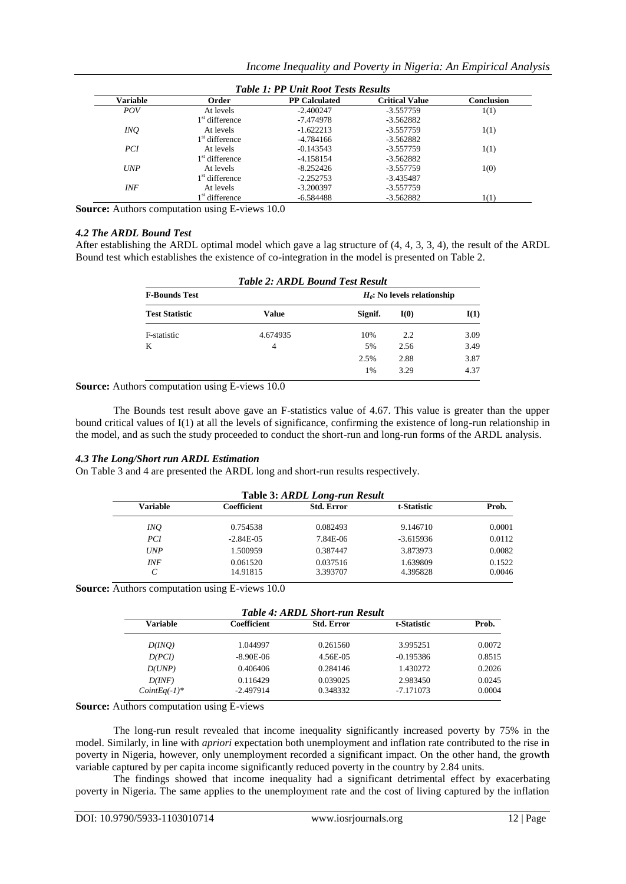| <b>Table 1: PP Unit Root Tests Results</b> |                            |                      |                       |            |
|--------------------------------------------|----------------------------|----------------------|-----------------------|------------|
| Variable                                   | Order                      | <b>PP Calculated</b> | <b>Critical Value</b> | Conclusion |
| <i>POV</i>                                 | At levels                  | $-2.400247$          | $-3.557759$           | 1(1)       |
|                                            | 1 <sup>st</sup> difference | -7.474978            | $-3.562882$           |            |
| INQ.                                       | At levels                  | $-1.622213$          | $-3.557759$           | 1(1)       |
|                                            | 1 <sup>st</sup> difference | $-4.784166$          | $-3.562882$           |            |
| PCI.                                       | At levels                  | $-0.143543$          | -3.557759             | 1(1)       |
|                                            | 1 <sup>st</sup> difference | $-4.158154$          | $-3.562882$           |            |
| <b>UNP</b>                                 | At levels                  | $-8.252426$          | -3.557759             | 1(0)       |
|                                            | 1 <sup>st</sup> difference | $-2.252753$          | $-3.435487$           |            |
| <b>INF</b>                                 | At levels                  | $-3.200397$          | -3.557759             |            |
|                                            | 1 <sup>st</sup> difference | $-6.584488$          | $-3.562882$           | 1(1)       |

**Source:** Authors computation using E-views 10.0

#### *4.2 The ARDL Bound Test*

After establishing the ARDL optimal model which gave a lag structure of (4, 4, 3, 3, 4), the result of the ARDL Bound test which establishes the existence of co-integration in the model is presented on Table 2.

| <b>Table 2: ARDL Bound Test Result</b> |          |                                |      |      |
|----------------------------------------|----------|--------------------------------|------|------|
| <b>F-Bounds Test</b>                   |          | $H_0$ : No levels relationship |      |      |
| <b>Test Statistic</b>                  | Value    | Signif.                        | I(0) | I(1) |
| F-statistic                            | 4.674935 | 10%                            | 2.2  | 3.09 |
| K                                      | 4        | 5%                             | 2.56 | 3.49 |
|                                        |          | 2.5%                           | 2.88 | 3.87 |
|                                        |          | 1%                             | 3.29 | 4.37 |

**Source:** Authors computation using E-views 10.0

The Bounds test result above gave an F-statistics value of 4.67. This value is greater than the upper bound critical values of I(1) at all the levels of significance, confirming the existence of long-run relationship in the model, and as such the study proceeded to conduct the short-run and long-run forms of the ARDL analysis.

#### *4.3 The Long/Short run ARDL Estimation*

On Table 3 and 4 are presented the ARDL long and short-run results respectively.

| Table 3: ARDL Long-run Result |             |                   |             |        |  |
|-------------------------------|-------------|-------------------|-------------|--------|--|
| <b>Variable</b>               | Coefficient | <b>Std. Error</b> | t-Statistic | Prob.  |  |
| INQ.                          | 0.754538    | 0.082493          | 9.146710    | 0.0001 |  |
| PCI                           | $-2.84E-05$ | 7.84E-06          | $-3.615936$ | 0.0112 |  |
| <b>UNP</b>                    | 1.500959    | 0.387447          | 3.873973    | 0.0082 |  |
| <b>INF</b>                    | 0.061520    | 0.037516          | 1.639809    | 0.1522 |  |
| C                             | 14.91815    | 3.393707          | 4.395828    | 0.0046 |  |

**Source:** Authors computation using E-views 10.0

| <b>Table 4: ARDL Short-run Result</b> |             |                   |             |        |  |
|---------------------------------------|-------------|-------------------|-------------|--------|--|
| Variable                              | Coefficient | <b>Std. Error</b> | t-Statistic | Prob.  |  |
| D(INO)                                | 1.044997    | 0.261560          | 3.995251    | 0.0072 |  |
| D(PCI)                                | $-8.90E-06$ | 4.56E-05          | $-0.195386$ | 0.8515 |  |
| D(UNP)                                | 0.406406    | 0.284146          | 1.430272    | 0.2026 |  |
| D(INF)                                | 0.116429    | 0.039025          | 2.983450    | 0.0245 |  |
| $CointEq(-1)^*$                       | $-2.497914$ | 0.348332          | $-7.171073$ | 0.0004 |  |

**Source:** Authors computation using E-views

The long-run result revealed that income inequality significantly increased poverty by 75% in the model. Similarly, in line with *apriori* expectation both unemployment and inflation rate contributed to the rise in poverty in Nigeria, however, only unemployment recorded a significant impact. On the other hand, the growth variable captured by per capita income significantly reduced poverty in the country by 2.84 units.

The findings showed that income inequality had a significant detrimental effect by exacerbating poverty in Nigeria. The same applies to the unemployment rate and the cost of living captured by the inflation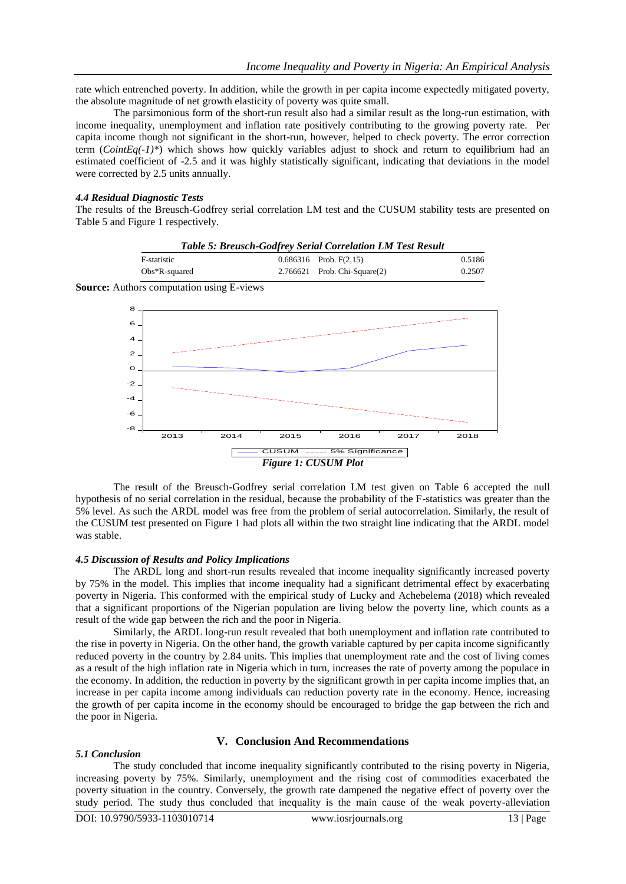rate which entrenched poverty. In addition, while the growth in per capita income expectedly mitigated poverty, the absolute magnitude of net growth elasticity of poverty was quite small.

The parsimonious form of the short-run result also had a similar result as the long-run estimation, with income inequality, unemployment and inflation rate positively contributing to the growing poverty rate. Per capita income though not significant in the short-run, however, helped to check poverty. The error correction term (*CointEq(-1)\**) which shows how quickly variables adjust to shock and return to equilibrium had an estimated coefficient of -2.5 and it was highly statistically significant, indicating that deviations in the model were corrected by 2.5 units annually.

#### *4.4 Residual Diagnostic Tests*

The results of the Breusch-Godfrey serial correlation LM test and the CUSUM stability tests are presented on Table 5 and Figure 1 respectively.

| <b>Table 5: Breusch-Godfrey Serial Correlation LM Test Result</b> |  |                                   |        |  |
|-------------------------------------------------------------------|--|-----------------------------------|--------|--|
| F-statistic                                                       |  | $0.686316$ Prob. F(2,15)          | 0.5186 |  |
| $Obs*R$ -squared                                                  |  | $2.766621$ Prob. Chi-Square $(2)$ | 0.2507 |  |

**Source:** Authors computation using E-views



The result of the Breusch-Godfrey serial correlation LM test given on Table 6 accepted the null hypothesis of no serial correlation in the residual, because the probability of the F-statistics was greater than the 5% level. As such the ARDL model was free from the problem of serial autocorrelation. Similarly, the result of the CUSUM test presented on Figure 1 had plots all within the two straight line indicating that the ARDL model was stable.

#### *4.5 Discussion of Results and Policy Implications*

The ARDL long and short-run results revealed that income inequality significantly increased poverty by 75% in the model. This implies that income inequality had a significant detrimental effect by exacerbating poverty in Nigeria. This conformed with the empirical study of Lucky and Achebelema (2018) which revealed that a significant proportions of the Nigerian population are living below the poverty line, which counts as a result of the wide gap between the rich and the poor in Nigeria.

Similarly, the ARDL long-run result revealed that both unemployment and inflation rate contributed to the rise in poverty in Nigeria. On the other hand, the growth variable captured by per capita income significantly reduced poverty in the country by 2.84 units. This implies that unemployment rate and the cost of living comes as a result of the high inflation rate in Nigeria which in turn, increases the rate of poverty among the populace in the economy. In addition, the reduction in poverty by the significant growth in per capita income implies that, an increase in per capita income among individuals can reduction poverty rate in the economy. Hence, increasing the growth of per capita income in the economy should be encouraged to bridge the gap between the rich and the poor in Nigeria.

#### **V. Conclusion And Recommendations**

#### *5.1 Conclusion*

The study concluded that income inequality significantly contributed to the rising poverty in Nigeria, increasing poverty by 75%. Similarly, unemployment and the rising cost of commodities exacerbated the poverty situation in the country. Conversely, the growth rate dampened the negative effect of poverty over the study period. The study thus concluded that inequality is the main cause of the weak poverty-alleviation